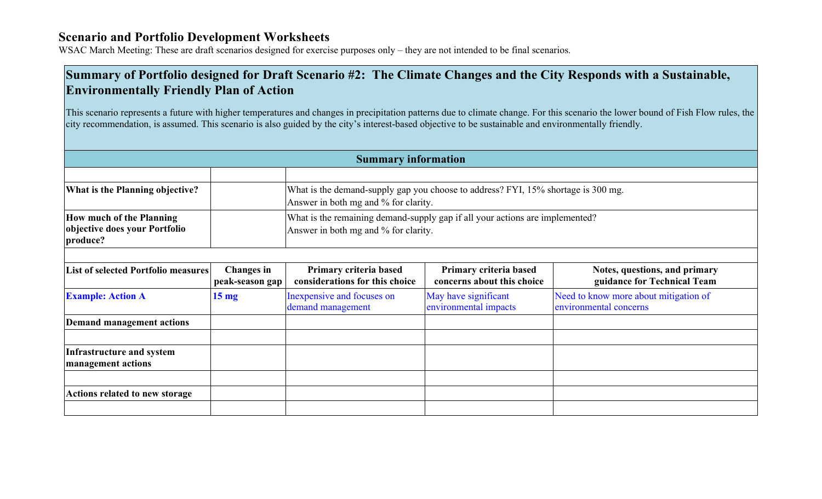WSAC March Meeting: These are draft scenarios designed for exercise purposes only – they are not intended to be final scenarios.

## **Summary of Portfolio designed for Draft Scenario #2: The Climate Changes and the City Responds with a Sustainable, Environmentally Friendly Plan of Action**

This scenario represents a future with higher temperatures and changes in precipitation patterns due to climate change. For this scenario the lower bound of Fish Flow rules, the city recommendation, is assumed. This scenario is also guided by the city's interest-based objective to be sustainable and environmentally friendly.

| <b>Summary information</b>                                                   |                                      |                                                                                                                           |                                                      |                                                                 |  |  |  |
|------------------------------------------------------------------------------|--------------------------------------|---------------------------------------------------------------------------------------------------------------------------|------------------------------------------------------|-----------------------------------------------------------------|--|--|--|
|                                                                              |                                      |                                                                                                                           |                                                      |                                                                 |  |  |  |
| What is the Planning objective?                                              |                                      | What is the demand-supply gap you choose to address? FYI, 15% shortage is 300 mg.<br>Answer in both mg and % for clarity. |                                                      |                                                                 |  |  |  |
| <b>How much of the Planning</b><br>objective does your Portfolio<br>produce? |                                      | What is the remaining demand-supply gap if all your actions are implemented?<br>Answer in both mg and % for clarity.      |                                                      |                                                                 |  |  |  |
| <b>List of selected Portfolio measures</b>                                   | <b>Changes</b> in<br>peak-season gap | Primary criteria based<br>considerations for this choice                                                                  | Primary criteria based<br>concerns about this choice | Notes, questions, and primary<br>guidance for Technical Team    |  |  |  |
| <b>Example: Action A</b>                                                     | 15 <sub>mg</sub>                     | Inexpensive and focuses on<br>demand management                                                                           | May have significant<br>environmental impacts        | Need to know more about mitigation of<br>environmental concerns |  |  |  |
| <b>Demand management actions</b>                                             |                                      |                                                                                                                           |                                                      |                                                                 |  |  |  |
| Infrastructure and system<br>management actions                              |                                      |                                                                                                                           |                                                      |                                                                 |  |  |  |
| <b>Actions related to new storage</b>                                        |                                      |                                                                                                                           |                                                      |                                                                 |  |  |  |